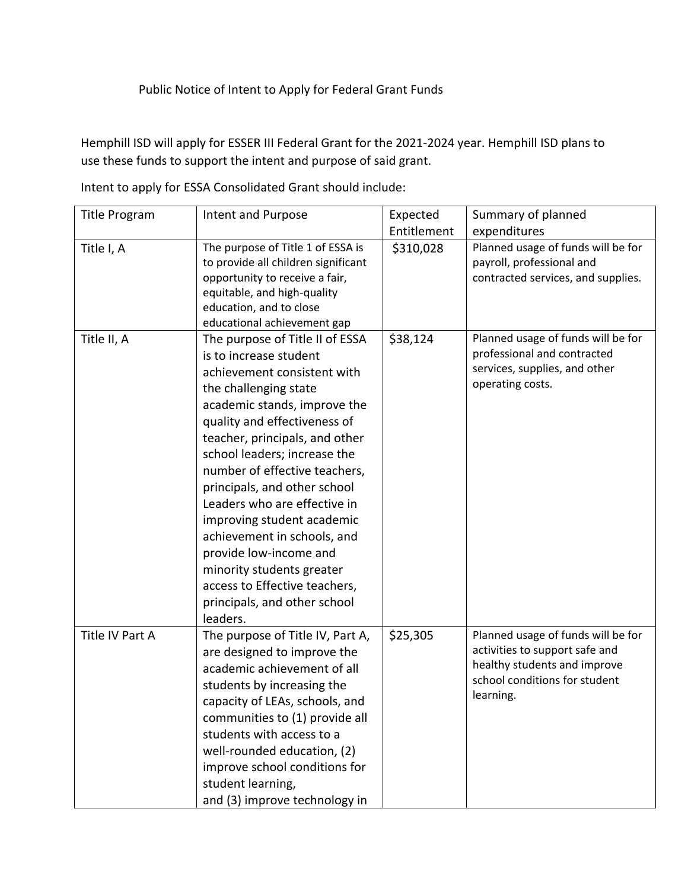## Public Notice of Intent to Apply for Federal Grant Funds

Hemphill ISD will apply for ESSER III Federal Grant for the 2021-2024 year. Hemphill ISD plans to use these funds to support the intent and purpose of said grant.

| <b>Title Program</b> | Intent and Purpose                                     | Expected    | Summary of planned                 |
|----------------------|--------------------------------------------------------|-------------|------------------------------------|
|                      |                                                        | Entitlement | expenditures                       |
| Title I, A           | The purpose of Title 1 of ESSA is                      | \$310,028   | Planned usage of funds will be for |
|                      | to provide all children significant                    |             | payroll, professional and          |
|                      | opportunity to receive a fair,                         |             | contracted services, and supplies. |
|                      | equitable, and high-quality                            |             |                                    |
|                      | education, and to close<br>educational achievement gap |             |                                    |
| Title II, A          | The purpose of Title II of ESSA                        | \$38,124    | Planned usage of funds will be for |
|                      | is to increase student                                 |             | professional and contracted        |
|                      | achievement consistent with                            |             | services, supplies, and other      |
|                      |                                                        |             | operating costs.                   |
|                      | the challenging state                                  |             |                                    |
|                      | academic stands, improve the                           |             |                                    |
|                      | quality and effectiveness of                           |             |                                    |
|                      | teacher, principals, and other                         |             |                                    |
|                      | school leaders; increase the                           |             |                                    |
|                      | number of effective teachers,                          |             |                                    |
|                      | principals, and other school                           |             |                                    |
|                      | Leaders who are effective in                           |             |                                    |
|                      | improving student academic                             |             |                                    |
|                      | achievement in schools, and                            |             |                                    |
|                      | provide low-income and                                 |             |                                    |
|                      | minority students greater                              |             |                                    |
|                      | access to Effective teachers,                          |             |                                    |
|                      | principals, and other school                           |             |                                    |
|                      | leaders.                                               |             |                                    |
| Title IV Part A      | The purpose of Title IV, Part A,                       | \$25,305    | Planned usage of funds will be for |
|                      | are designed to improve the                            |             | activities to support safe and     |
|                      | academic achievement of all                            |             | healthy students and improve       |
|                      | students by increasing the                             |             | school conditions for student      |
|                      | capacity of LEAs, schools, and                         |             | learning.                          |
|                      | communities to (1) provide all                         |             |                                    |
|                      | students with access to a                              |             |                                    |
|                      | well-rounded education, (2)                            |             |                                    |
|                      | improve school conditions for                          |             |                                    |
|                      | student learning,                                      |             |                                    |
|                      |                                                        |             |                                    |
|                      | and (3) improve technology in                          |             |                                    |

Intent to apply for ESSA Consolidated Grant should include: